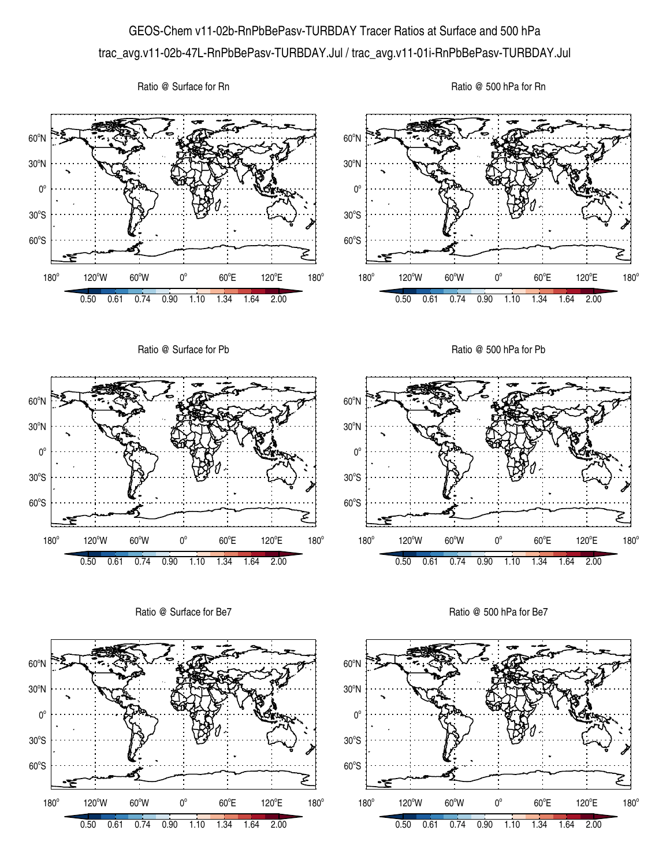## GEOS-Chem v11-02b-RnPbBePasv-TURBDAY Tracer Ratios at Surface and 500 hPa trac\_avg.v11-02b-47L-RnPbBePasv-TURBDAY.Jul / trac\_avg.v11-01i-RnPbBePasv-TURBDAY.Jul

Ratio @ Surface for Rn

Ratio @ 500 hPa for Rn